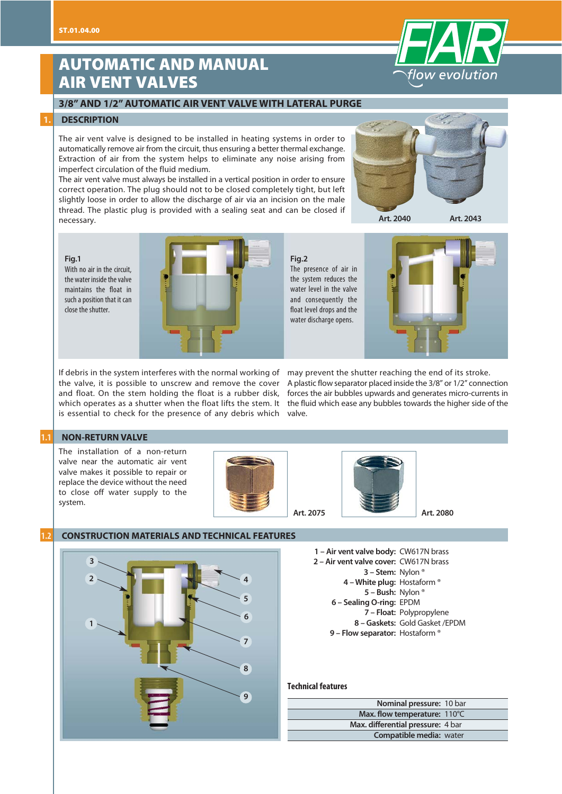## **AUTOMATIC AND MANUAL AIR VENT VALVES**

#### **3/8" AND 1/2" AUTOMATIC AIR VENT VALVE WITH LATERAL PURGE**

#### **1. DESCRIPTION**

The air vent valve is designed to be installed in heating systems in order to automatically remove air from the circuit, thus ensuring a better thermal exchange. Extraction of air from the system helps to eliminate any noise arising from imperfect circulation of the fluid medium.

The air vent valve must always be installed in a vertical position in order to ensure correct operation. The plug should not to be closed completely tight, but left slightly loose in order to allow the discharge of air via an incision on the male thread. The plastic plug is provided with a sealing seat and can be closed if necessary.



**Art. 2040 Art. 2043**

#### **Fig.1**

With no air in the circuit, the water inside the valve maintains the float in such a position that it can close the shutter.



**Fig.2** The presence of air in the system reduces the water level in the valve and consequently the float level drops and the water discharge opens.



If debris in the system interferes with the normal working of may prevent the shutter reaching the end of its stroke. is essential to check for the presence of any debris which valve.

the valve, it is possible to unscrew and remove the cover Aplastic flow separator placed inside the 3/8" or 1/2" connection and float. On the stem holding the float is a rubber disk, forces the air bubbles upwards and generates micro-currents in which operates as a shutter when the float lifts the stem. It the fluid which ease any bubbles towards the higher side of the

#### **1.1 NON-RETURN VALVE**

The installation of a non-return valve near the automatic air vent valve makes it possible to repair or replace the device without the need to close off water supply to the system.





**Art. 2080**

#### **1.2 CONSTRUCTION MATERIALS AND TECHNICAL FEATURES**



**1 – Air vent valve body:**  CW617N brass **2 – Air vent valve cover:** CW617N brass **3 – Stem:**  Nylon ® **4 – White plug:** Hostaform ® **5 – Bush:**  Nylon ® **6 – Sealing O-ring:** EPDM **7 – Float:**  Polypropylene **8 – Gaskets:**  Gold Gasket /EPDM **9 – Flow separator:**  Hostaform ®

#### **Technical features**

| Nominal pressure: 10 bar          |  |
|-----------------------------------|--|
| Max. flow temperature: 110°C      |  |
| Max. differential pressure: 4 bar |  |
| <b>Compatible media: water</b>    |  |

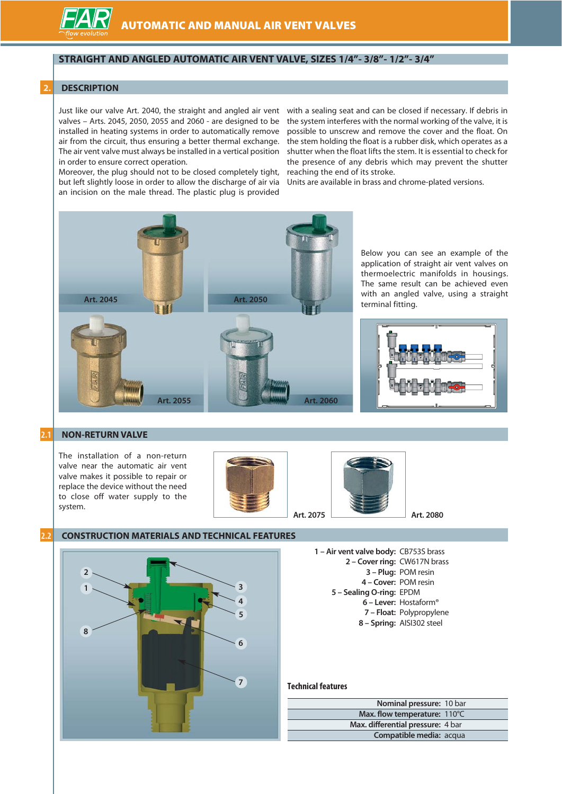

#### **STRAIGHT AND ANGLED AUTOMATIC AIR VENT VALVE, SIZES 1/4"- 3/8"- 1/2"- 3/4"**

#### **2. DESCRIPTION**

Just like our valve Art. 2040, the straight and angled air vent valves – Arts. 2045, 2050, 2055 and 2060 - are designed to be installed in heating systems in order to automatically remove air from the circuit, thus ensuring a better thermal exchange. The air vent valve must always be installed in a vertical position in order to ensure correct operation.

Moreover, the plug should not to be closed completely tight, but left slightly loose in order to allow the discharge of air via an incision on the male thread. The plastic plug is provided

with a sealing seat and can be closed if necessary. If debris in the system interferes with the normal working of the valve, it is possible to unscrew and remove the cover and the float. On the stem holding the float is a rubber disk, which operates as a shutter when the float lifts the stem. It is essential to check for the presence of any debris which may prevent the shutter reaching the end of its stroke.

Units are available in brass and chrome-plated versions.



Below you can see an example of the application of straight air vent valves on thermoelectric manifolds in housings. The same result can be achieved even with an angled valve, using a straight terminal fitting.



#### **2.1 NON-RETURN VALVE**

The installation of a non-return valve near the automatic air vent valve makes it possible to repair or replace the device without the need to close off water supply to the system.





#### **2.2 CONSTRUCTION MATERIALS AND TECHNICAL FEATURES**

**3 4 5 6 7 8 2 1**

**1 – Air vent valve body:**  CB753S brass **2 – Cover ring:** CW617N brass **3 – Plug:** POM resin **4 – Cover:** POM resin **5 – Sealing O-ring:** EPDM **6 – Lever:**  Hostaform® **7 – Float:**  Polypropylene **8 – Spring:** AISI302 steel

#### **Technical features**

| Nominal pressure: 10 bar          |  |
|-----------------------------------|--|
| Max. flow temperature: 110°C      |  |
| Max. differential pressure: 4 bar |  |
| Compatible media: acqua           |  |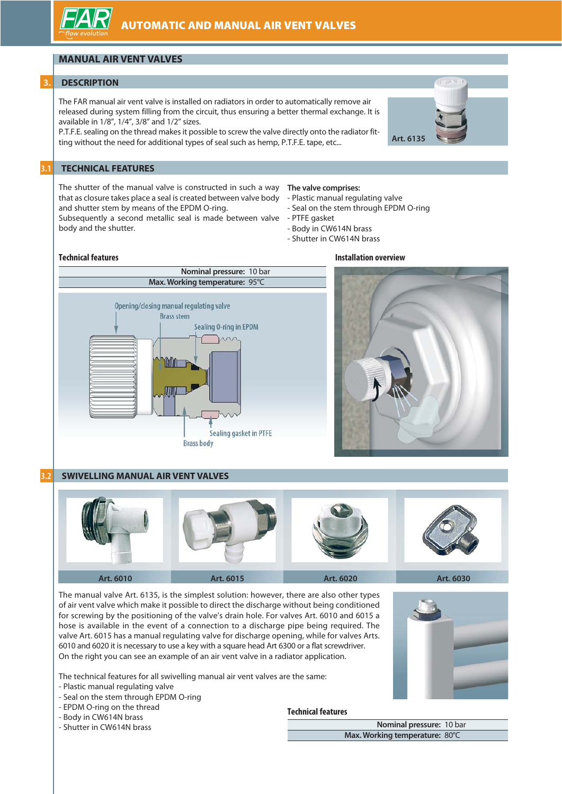### **MANUAL AIR VENT VALVES**

#### **3. DESCRIPTION**

The FAR manual air vent valve is installed on radiators in order to automatically remove air released during system filling from the circuit, thus ensuring a better thermal exchange. It is available in 1/8", 1/4", 3/8" and 1/2" sizes.

P.T.F.E. sealing on the thread makes it possible to screw the valve directly onto the radiator fitting without the need for additional types of seal such as hemp, P.T.F.E. tape, etc...

#### **3.1 TECHNICAL FEATURES**

The shutter of the manual valve is constructed in such a way that as closure takes place a seal is created between valve body and shutter stem by means of the EPDM O-ring.

Subsequently a second metallic seal is made between valve - PTFE gasket body and the shutter.

#### **The valve comprises:**

- Plastic manual regulating valve
- Seal on the stem through EPDM O-ring

**Installation overview**

- 
- Body in CW614N brass
- Shutter in CW614N brass

#### **Technical features**



#### **3.2 SWIVELLING MANUAL AIR VENT VALVES**



The manual valve Art. 6135, is the simplest solution: however, there are also other types of air vent valve which make it possible to direct the discharge without being conditioned for screwing by the positioning of the valve's drain hole. For valves Art. 6010 and 6015 a hose is available in the event of a connection to a discharge pipe being required. The valve Art. 6015 has a manual regulating valve for discharge opening, while for valves Arts. 6010 and 6020 it is necessary to use a key with a square head Art 6300 or a flat screwdriver. On the right you can see an example of an air vent valve in a radiator application.

The technical features for all swivelling manual air vent valves are the same:

- Plastic manual regulating valve
- Seal on the stem through EPDM O-ring
- EPDM O-ring on the thread
- Body in CW614N brass

- Shutter in CW614N brass

#### **Technical features**



**Nominal pressure:** 10 bar **Max. Working temperature:** 80°C